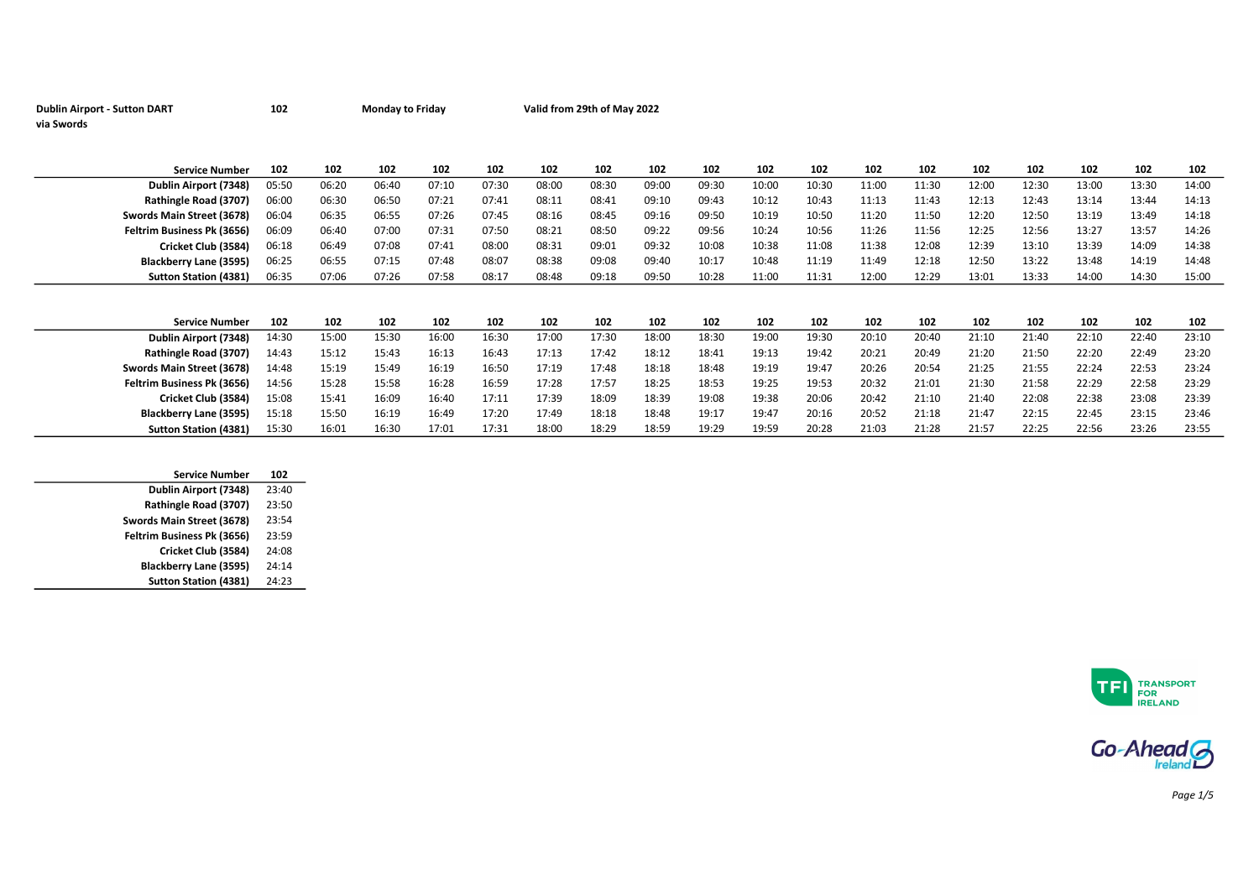| <b>Dublin Airport - Sutton DART</b> | 102 | <b>Monday to Friday</b> | Valid from 29th of May 2022 |
|-------------------------------------|-----|-------------------------|-----------------------------|
| via Swords                          |     |                         |                             |

| <b>Service Number</b>         | 102   | 102   | 102   | 102   | 102   | 102   | 102   | 102   | 102   | 102   | 102   | 102   | 102   | 102   | 102   | 102   | 102   | 102   |
|-------------------------------|-------|-------|-------|-------|-------|-------|-------|-------|-------|-------|-------|-------|-------|-------|-------|-------|-------|-------|
| Dublin Airport (7348)         | 05:50 | 06:20 | 06:40 | 07:10 | 07:30 | 08:00 | 08:30 | 09:00 | 09:30 | 10:00 | 10:30 | 11:00 | 11:30 | 12:00 | 12:30 | 13:00 | 13:30 | 14:00 |
| Rathingle Road (3707)         | 06:00 | 06:30 | 06:50 | 07:21 | 07:41 | 08:11 | 08:41 | 09:10 | 09:43 | 10:12 | 10:43 | 11:13 | 11:43 | 12:13 | 12:43 | 13:14 | 13:44 | 14:13 |
| Swords Main Street (3678)     | 06:04 | 06:35 | 06:55 | 07:26 | 07:45 | 08:16 | 08:45 | 09:16 | 09:50 | 10:19 | 10:50 | 11:20 | 11:50 | 12:20 | 12:50 | 13:19 | 13:49 | 14:18 |
| Feltrim Business Pk (3656)    | 06:09 | 06:40 | 07:00 | 07:31 | 07:50 | 08:21 | 08:50 | 09:22 | 09:56 | 10:24 | 10:56 | 11:26 | 11:56 | 12:25 | 12:56 | 13:27 | 13:57 | 14:26 |
| Cricket Club (3584)           | 06:18 | 06:49 | 07:08 | 07:41 | 08:00 | 08:31 | 09:01 | 09:32 | 10:08 | 10:38 | 11:08 | 11:38 | 12:08 | 12:39 | 13:10 | 13:39 | 14:09 | 14:38 |
| Blackberry Lane (3595)        | 06:25 | 06:55 | 07:15 | 07:48 | 08:07 | 08:38 | 09:08 | 09:40 | 10:17 | 10:48 | 11:19 | 11:49 | 12:18 | 12:50 | 13:22 | 13:48 | 14:19 | 14:48 |
| <b>Sutton Station (4381)</b>  | 06:35 | 07:06 | 07:26 | 07:58 | 08:17 | 08:48 | 09:18 | 09:50 | 10:28 | 11:00 | 11:31 | 12:00 | 12:29 | 13:01 | 13:33 | 14:00 | 14:30 | 15:00 |
|                               |       |       |       |       |       |       |       |       |       |       |       |       |       |       |       |       |       |       |
|                               |       |       |       |       |       |       |       |       |       |       |       |       |       |       |       |       |       |       |
| <b>Service Number</b>         | 102   | 102   | 102   | 102   | 102   | 102   | 102   | 102   | 102   | 102   | 102   | 102   | 102   | 102   | 102   | 102   | 102   | 102   |
| Dublin Airport (7348)         | 14:30 | 15:00 | 15:30 | 16:00 | 16:30 | 17:00 | 17:30 | 18:00 | 18:30 | 19:00 | 19:30 | 20:10 | 20:40 | 21:10 | 21:40 | 22:10 | 22:40 | 23:10 |
| Rathingle Road (3707)         | 14:43 | 15:12 | 15:43 | 16:13 | 16:43 | 17:13 | 17:42 | 18:12 | 18:41 | 19:13 | 19:42 | 20:21 | 20:49 | 21:20 | 21:50 | 22:20 | 22:49 | 23:20 |
| Swords Main Street (3678)     | 14:48 | 15:19 | 15:49 | 16:19 | 16:50 | 17:19 | 17:48 | 18:18 | 18:48 | 19:19 | 19:47 | 20:26 | 20:54 | 21:25 | 21:55 | 22:24 | 22:53 | 23:24 |
| Feltrim Business Pk (3656)    | 14:56 | 15:28 | 15:58 | 16:28 | 16:59 | 17:28 | 17:57 | 18:25 | 18:53 | 19:25 | 19:53 | 20:32 | 21:01 | 21:30 | 21:58 | 22:29 | 22:58 | 23:29 |
| Cricket Club (3584)           | 15:08 | 15:41 | 16:09 | 16:40 | 17:11 | 17:39 | 18:09 | 18:39 | 19:08 | 19:38 | 20:06 | 20:42 | 21:10 | 21:40 | 22:08 | 22:38 | 23:08 | 23:39 |
| <b>Blackberry Lane (3595)</b> | 15:18 | 15:50 | 16:19 | 16:49 | 17:20 | 17:49 | 18:18 | 18:48 | 19:17 | 19:47 | 20:16 | 20:52 | 21:18 | 21:47 | 22:15 | 22:45 | 23:15 | 23:46 |
| <b>Sutton Station (4381)</b>  | 15:30 | 16:01 | 16:30 | 17:01 | 17:31 | 18:00 | 18:29 | 18:59 | 19:29 | 19:59 | 20:28 | 21:03 | 21:28 | 21:57 | 22:25 | 22:56 | 23:26 | 23:55 |

| <b>Service Number</b>        | 102   |
|------------------------------|-------|
| Dublin Airport (7348)        | 23:40 |
| Rathingle Road (3707)        | 23:50 |
| Swords Main Street (3678)    | 23:54 |
| Feltrim Business Pk (3656)   | 23:59 |
| Cricket Club (3584)          | 24:08 |
| Blackberry Lane (3595)       | 24:14 |
| <b>Sutton Station (4381)</b> | 24:23 |
|                              |       |





Page 1/5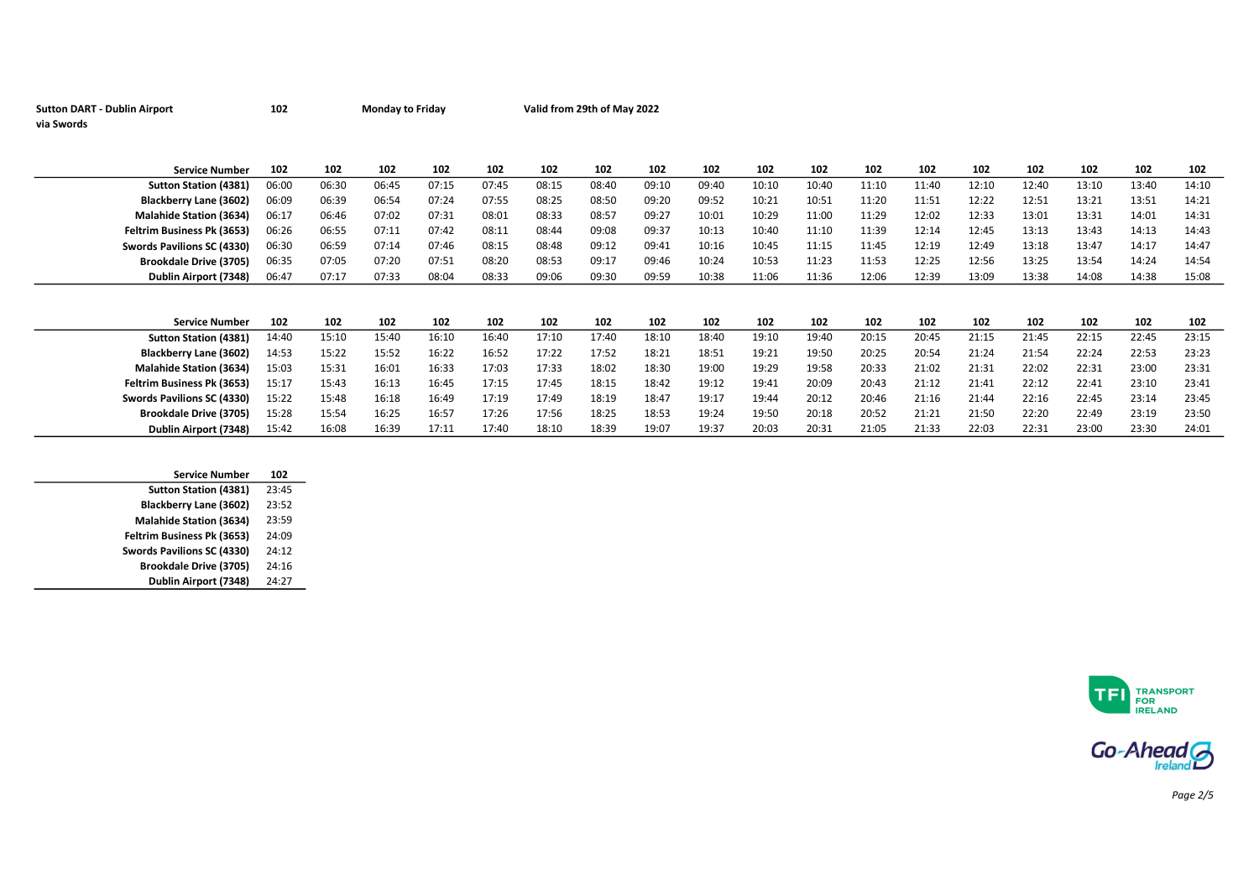| <b>Sutton DART - Dublin Airport</b> | 102 | <b>Monday to Friday</b> | Valid from 29th of May 2022 |
|-------------------------------------|-----|-------------------------|-----------------------------|
| via Swords                          |     |                         |                             |

| <b>Service Number</b>             | 102   | 102   | 102   | 102   | 102   | 102   | 102   | 102   | 102   | 102   | 102   | 102   | 102   | 102   | 102   | 102   | 102   | 102   |
|-----------------------------------|-------|-------|-------|-------|-------|-------|-------|-------|-------|-------|-------|-------|-------|-------|-------|-------|-------|-------|
| <b>Sutton Station (4381)</b>      | 06:00 | 06:30 | 06:45 | 07:15 | 07:45 | 08:15 | 08:40 | 09:10 | 09:40 | 10:10 | 10:40 | 11:10 | 11:40 | 12:10 | 12:40 | 13:10 | 13:40 | 14:10 |
| Blackberry Lane (3602)            | 06:09 | 06:39 | 06:54 | 07:24 | 07:55 | 08:25 | 08:50 | 09:20 | 09:52 | 10:21 | 10:51 | 11:20 | 11:51 | 12:22 | 12:51 | 13:21 | 13:51 | 14:21 |
| <b>Malahide Station (3634)</b>    | 06:17 | 06:46 | 07:02 | 07:31 | 08:01 | 08:33 | 08:57 | 09:27 | 10:01 | 10:29 | 11:00 | 11:29 | 12:02 | 12:33 | 13:01 | 13:31 | 14:01 | 14:31 |
| <b>Feltrim Business Pk (3653)</b> | 06:26 | 06:55 | 07:11 | 07:42 | 08:11 | 08:44 | 09:08 | 09:37 | 10:13 | 10:40 | 11:10 | 11:39 | 12:14 | 12:45 | 13:13 | 13:43 | 14:13 | 14:43 |
| Swords Pavilions SC (4330)        | 06:30 | 06:59 | 07:14 | 07:46 | 08:15 | 08:48 | 09:12 | 09:41 | 10:16 | 10:45 | 11:15 | 11:45 | 12:19 | 12:49 | 13:18 | 13:47 | 14:17 | 14:47 |
| <b>Brookdale Drive (3705)</b>     | 06:35 | 07:05 | 07:20 | 07:51 | 08:20 | 08:53 | 09:17 | 09:46 | 10:24 | 10:53 | 11:23 | 11:53 | 12:25 | 12:56 | 13:25 | 13:54 | 14:24 | 14:54 |
| Dublin Airport (7348)             | 06:47 | 07:17 | 07:33 | 08:04 | 08:33 | 09:06 | 09:30 | 09:59 | 10:38 | 11:06 | 11:36 | 12:06 | 12:39 | 13:09 | 13:38 | 14:08 | 14:38 | 15:08 |
|                                   |       |       |       |       |       |       |       |       |       |       |       |       |       |       |       |       |       |       |
| <b>Service Number</b>             | 102   | 102   | 102   | 102   | 102   | 102   | 102   | 102   | 102   | 102   | 102   | 102   | 102   | 102   | 102   | 102   | 102   | 102   |
| <b>Sutton Station (4381)</b>      | 14:40 | 15:10 | 15:40 | 16:10 | 16:40 | 17:10 | 17:40 | 18:10 | 18:40 | 19:10 | 19:40 | 20:15 | 20:45 | 21:15 | 21:45 | 22:15 | 22:45 | 23:15 |
| Blackberry Lane (3602)            | 14:53 | 15:22 | 15:52 | 16:22 | 16:52 | 17:22 | 17:52 | 18:21 | 18:51 | 19:21 | 19:50 | 20:25 | 20:54 | 21:24 | 21:54 | 22:24 | 22:53 | 23:23 |
| <b>Malahide Station (3634)</b>    | 15:03 | 15:31 | 16:01 | 16:33 | 17:03 | 17:33 | 18:02 | 18:30 | 19:00 | 19:29 | 19:58 | 20:33 | 21:02 | 21:31 | 22:02 | 22:31 | 23:00 | 23:31 |
| <b>Feltrim Business Pk (3653)</b> | 15:17 | 15:43 | 16:13 | 16:45 | 17:15 | 17:45 | 18:15 | 18:42 | 19:12 | 19:41 | 20:09 | 20:43 | 21:12 | 21:41 | 22:12 | 22:41 | 23:10 | 23:41 |
| Swords Pavilions SC (4330)        | 15:22 | 15:48 | 16:18 | 16:49 | 17:19 | 17:49 | 18:19 | 18:47 | 19:17 | 19:44 | 20:12 | 20:46 | 21:16 | 21:44 | 22:16 | 22:45 | 23:14 | 23:45 |
| <b>Brookdale Drive (3705)</b>     | 15:28 | 15:54 | 16:25 | 16:57 | 17:26 | 17:56 | 18:25 | 18:53 | 19:24 | 19:50 | 20:18 | 20:52 | 21:21 | 21:50 | 22:20 | 22:49 | 23:19 | 23:50 |
| Dublin Airport (7348)             | 15:42 | 16:08 | 16:39 | 17:11 | 17:40 | 18:10 | 18:39 | 19:07 | 19:37 | 20:03 | 20:31 | 21:05 | 21:33 | 22:03 | 22:31 | 23:00 | 23:30 | 24:01 |

| <b>Service Number</b>          | 102   |
|--------------------------------|-------|
| <b>Sutton Station (4381)</b>   | 23:45 |
| <b>Blackberry Lane (3602)</b>  | 23:52 |
| <b>Malahide Station (3634)</b> | 23:59 |
| Feltrim Business Pk (3653)     | 24:09 |
| Swords Pavilions SC (4330)     | 24:12 |
| <b>Brookdale Drive (3705)</b>  | 24:16 |
| Dublin Airport (7348)          | 24:27 |
|                                |       |





Page 2/5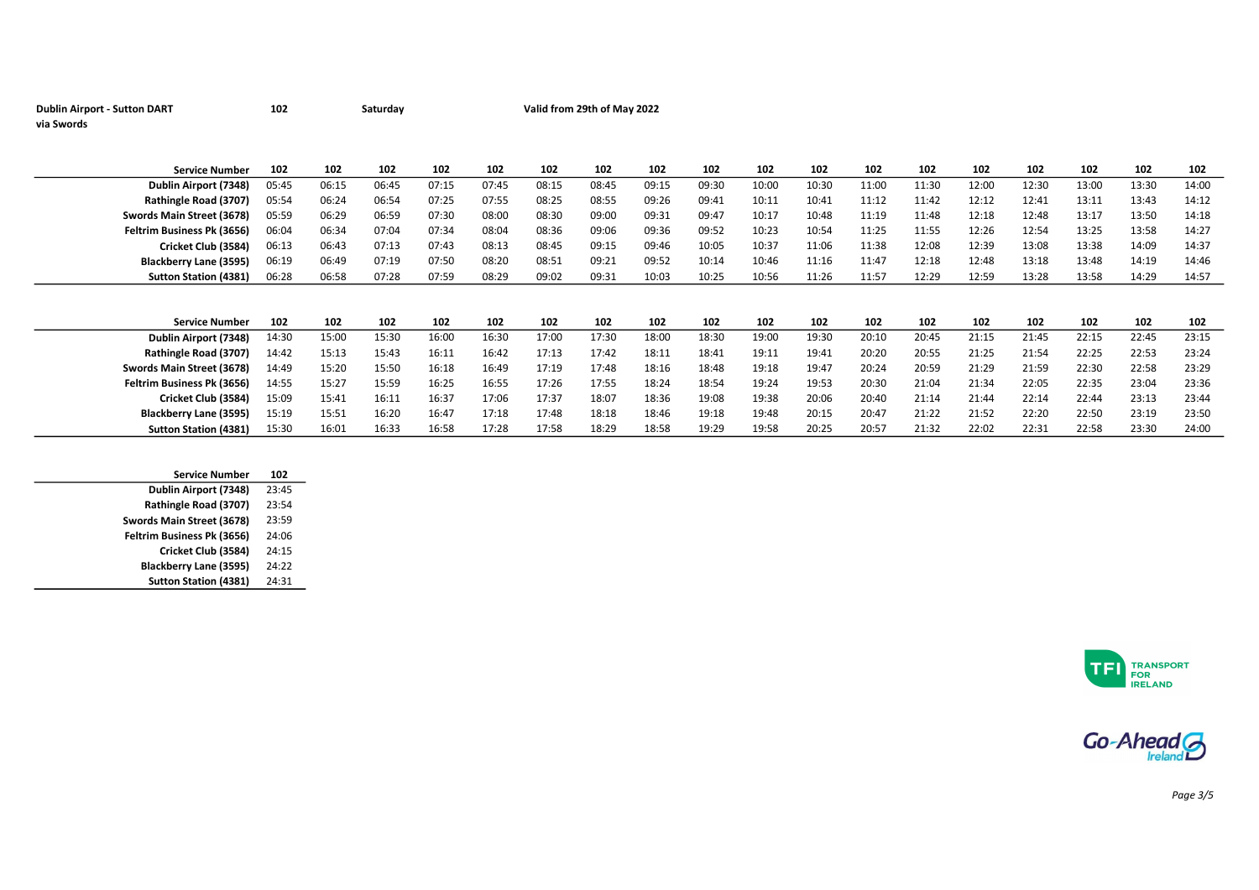| <b>Dublin Airport - Sutton DART</b> | 102 | Saturday | Valid from 29th of May 2022 |
|-------------------------------------|-----|----------|-----------------------------|
| via Swords                          |     |          |                             |

| <b>Service Number</b>         | 102   | 102   | 102   | 102   | 102   | 102   | 102   | 102   | 102   | 102   | 102   | 102   | 102   | 102   | 102   | 102   | 102   | 102   |
|-------------------------------|-------|-------|-------|-------|-------|-------|-------|-------|-------|-------|-------|-------|-------|-------|-------|-------|-------|-------|
| Dublin Airport (7348)         | 05:45 | 06:15 | 06:45 | 07:15 | 07:45 | 08:15 | 08:45 | 09:15 | 09:30 | 10:00 | 10:30 | 11:00 | 11:30 | 12:00 | 12:30 | 13:00 | 13:30 | 14:00 |
| Rathingle Road (3707)         | 05:54 | 06:24 | 06:54 | 07:25 | 07:55 | 08:25 | 08:55 | 09:26 | 09:41 | 10:11 | 10:41 | 11:12 | 11:42 | 12:12 | 12:41 | 13:11 | 13:43 | 14:12 |
| Swords Main Street (3678)     | 05:59 | 06:29 | 06:59 | 07:30 | 08:00 | 08:30 | 09:00 | 09:31 | 09:47 | 10:17 | 10:48 | 11:19 | 11:48 | 12:18 | 12:48 | 13:17 | 13:50 | 14:18 |
| Feltrim Business Pk (3656)    | 06:04 | 06:34 | 07:04 | 07:34 | 08:04 | 08:36 | 09:06 | 09:36 | 09:52 | 10:23 | 10:54 | 11:25 | 11:55 | 12:26 | 12:54 | 13:25 | 13:58 | 14:27 |
| Cricket Club (3584)           | 06:13 | 06:43 | 07:13 | 07:43 | 08:13 | 08:45 | 09:15 | 09:46 | 10:05 | 10:37 | 11:06 | 11:38 | 12:08 | 12:39 | 13:08 | 13:38 | 14:09 | 14:37 |
| <b>Blackberry Lane (3595)</b> | 06:19 | 06:49 | 07:19 | 07:50 | 08:20 | 08:51 | 09:21 | 09:52 | 10:14 | 10:46 | 11:16 | 11:47 | 12:18 | 12:48 | 13:18 | 13:48 | 14:19 | 14:46 |
| <b>Sutton Station (4381)</b>  | 06:28 | 06:58 | 07:28 | 07:59 | 08:29 | 09:02 | 09:31 | 10:03 | 10:25 | 10:56 | 11:26 | 11:57 | 12:29 | 12:59 | 13:28 | 13:58 | 14:29 | 14:57 |
|                               |       |       |       |       |       |       |       |       |       |       |       |       |       |       |       |       |       |       |
|                               |       |       |       |       |       |       |       |       |       |       |       |       |       |       |       |       |       |       |
| <b>Service Number</b>         | 102   | 102   | 102   | 102   | 102   | 102   | 102   | 102   | 102   | 102   | 102   | 102   | 102   | 102   | 102   | 102   | 102   | 102   |
| Dublin Airport (7348)         | 14:30 | 15:00 | 15:30 | 16:00 | 16:30 | 17:00 | 17:30 | 18:00 | 18:30 | 19:00 | 19:30 | 20:10 | 20:45 | 21:15 | 21:45 | 22:15 | 22:45 | 23:15 |
| Rathingle Road (3707)         | 14:42 | 15:13 | 15:43 | 16:11 | 16:42 | 17:13 | 17:42 | 18:11 | 18:41 | 19:11 | 19:41 | 20:20 | 20:55 | 21:25 | 21:54 | 22:25 | 22:53 | 23:24 |
| Swords Main Street (3678)     | 14:49 | 15:20 | 15:50 | 16:18 | 16:49 | 17:19 | 17:48 | 18:16 | 18:48 | 19:18 | 19:47 | 20:24 | 20:59 | 21:29 | 21:59 | 22:30 | 22:58 | 23:29 |
| Feltrim Business Pk (3656)    | 14:55 | 15:27 | 15:59 | 16:25 | 16:55 | 17:26 | 17:55 | 18:24 | 18:54 | 19:24 | 19:53 | 20:30 | 21:04 | 21:34 | 22:05 | 22:35 | 23:04 | 23:36 |
| Cricket Club (3584)           | 15:09 | 15:41 | 16:11 | 16:37 | 17:06 | 17:37 | 18:07 | 18:36 | 19:08 | 19:38 | 20:06 | 20:40 | 21:14 | 21:44 | 22:14 | 22:44 | 23:13 | 23:44 |
| Blackberry Lane (3595)        | 15:19 | 15:51 | 16:20 | 16:47 | 17:18 | 17:48 | 18:18 | 18:46 | 19:18 | 19:48 | 20:15 | 20:47 | 21:22 | 21:52 | 22:20 | 22:50 | 23:19 | 23:50 |
|                               |       |       |       |       |       |       |       |       |       |       |       |       |       |       |       |       |       |       |

| <b>Service Number</b>        | 102   |
|------------------------------|-------|
| Dublin Airport (7348)        | 23:45 |
| Rathingle Road (3707)        | 23:54 |
| Swords Main Street (3678)    | 23:59 |
| Feltrim Business Pk (3656)   | 24:06 |
| Cricket Club (3584)          | 24:15 |
| Blackberry Lane (3595)       | 24:22 |
| <b>Sutton Station (4381)</b> | 24:31 |
|                              |       |





Page 3/5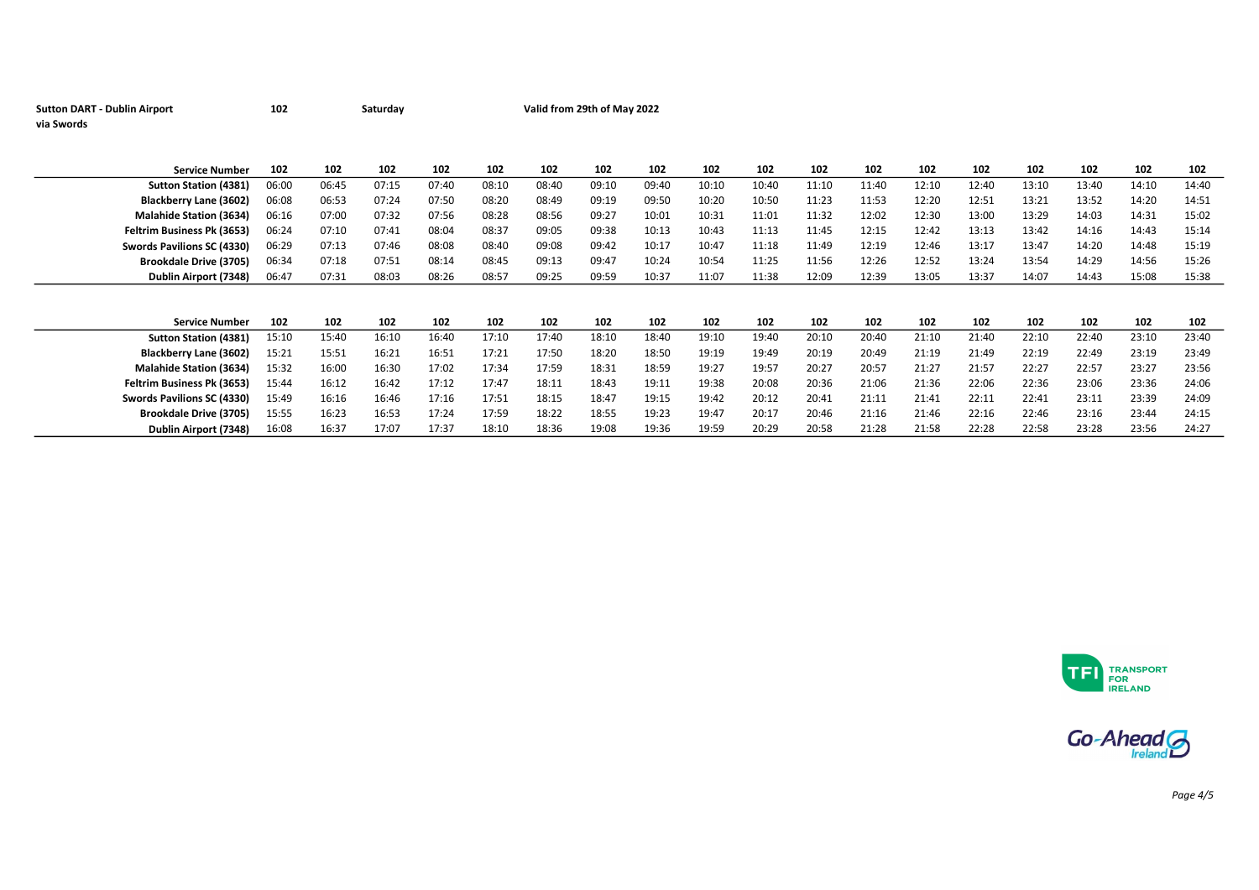| <b>Sutton DART - Dublin Airport</b> | 102   |       | Saturday |       |       |       | Valid from 29th of May 2022 |       |       |       |       |       |       |       |       |       |       |       |
|-------------------------------------|-------|-------|----------|-------|-------|-------|-----------------------------|-------|-------|-------|-------|-------|-------|-------|-------|-------|-------|-------|
| via Swords                          |       |       |          |       |       |       |                             |       |       |       |       |       |       |       |       |       |       |       |
|                                     |       |       |          |       |       |       |                             |       |       |       |       |       |       |       |       |       |       |       |
|                                     |       |       |          |       |       |       |                             |       |       |       |       |       |       |       |       |       |       |       |
| <b>Service Number</b>               | 102   | 102   | 102      | 102   | 102   | 102   | 102                         | 102   | 102   | 102   | 102   | 102   | 102   | 102   | 102   | 102   | 102   | 102   |
| <b>Sutton Station (4381)</b>        | 06:00 | 06:45 | 07:15    | 07:40 | 08:10 | 08:40 | 09:10                       | 09:40 | 10:10 | 10:40 | 11:10 | 11:40 | 12:10 | 12:40 | 13:10 | 13:40 | 14:10 | 14:40 |
| Blackberry Lane (3602)              | 06:08 | 06:53 | 07:24    | 07:50 | 08:20 | 08:49 | 09:19                       | 09:50 | 10:20 | 10:50 | 11:23 | 11:53 | 12:20 | 12:51 | 13:21 | 13:52 | 14:20 | 14:51 |
| <b>Malahide Station (3634)</b>      | 06:16 | 07:00 | 07:32    | 07:56 | 08:28 | 08:56 | 09:27                       | 10:01 | 10:31 | 11:01 | 11:32 | 12:02 | 12:30 | 13:00 | 13:29 | 14:03 | 14:31 | 15:02 |
| Feltrim Business Pk (3653)          | 06:24 | 07:10 | 07:41    | 08:04 | 08:37 | 09:05 | 09:38                       | 10:13 | 10:43 | 11:13 | 11:45 | 12:15 | 12:42 | 13:13 | 13:42 | 14:16 | 14:43 | 15:14 |
| Swords Pavilions SC (4330)          | 06:29 | 07:13 | 07:46    | 08:08 | 08:40 | 09:08 | 09:42                       | 10:17 | 10:47 | 11:18 | 11:49 | 12:19 | 12:46 | 13:17 | 13:47 | 14:20 | 14:48 | 15:19 |
| <b>Brookdale Drive (3705)</b>       | 06:34 | 07:18 | 07:51    | 08:14 | 08:45 | 09:13 | 09:47                       | 10:24 | 10:54 | 11:25 | 11:56 | 12:26 | 12:52 | 13:24 | 13:54 | 14:29 | 14:56 | 15:26 |
| Dublin Airport (7348)               | 06:47 | 07:31 | 08:03    | 08:26 | 08:57 | 09:25 | 09:59                       | 10:37 | 11:07 | 11:38 | 12:09 | 12:39 | 13:05 | 13:37 | 14:07 | 14:43 | 15:08 | 15:38 |
|                                     |       |       |          |       |       |       |                             |       |       |       |       |       |       |       |       |       |       |       |
|                                     |       |       |          |       |       |       |                             |       |       |       |       |       |       |       |       |       |       |       |
| <b>Service Number</b>               | 102   | 102   | 102      | 102   | 102   | 102   | 102                         | 102   | 102   | 102   | 102   | 102   | 102   | 102   | 102   | 102   | 102   | 102   |
| <b>Sutton Station (4381)</b>        | 15:10 | 15:40 | 16:10    | 16:40 | 17:10 | 17:40 | 18:10                       | 18:40 | 19:10 | 19:40 | 20:10 | 20:40 | 21:10 | 21:40 | 22:10 | 22:40 | 23:10 | 23:40 |
| Blackberry Lane (3602)              | 15:21 | 15:51 | 16:21    | 16:51 | 17:21 | 17:50 | 18:20                       | 18:50 | 19:19 | 19:49 | 20:19 | 20:49 | 21:19 | 21:49 | 22:19 | 22:49 | 23:19 | 23:49 |
| <b>Malahide Station (3634)</b>      | 15:32 | 16:00 | 16:30    | 17:02 | 17:34 | 17:59 | 18:31                       | 18:59 | 19:27 | 19:57 | 20:27 | 20:57 | 21:27 | 21:57 | 22:27 | 22:57 | 23:27 | 23:56 |
| Feltrim Business Pk (3653)          | 15:44 | 16:12 | 16:42    | 17:12 | 17:47 | 18:11 | 18:43                       | 19:11 | 19:38 | 20:08 | 20:36 | 21:06 | 21:36 | 22:06 | 22:36 | 23:06 | 23:36 | 24:06 |
| Swords Pavilions SC (4330)          | 15:49 | 16:16 | 16:46    | 17:16 | 17:51 | 18:15 | 18:47                       | 19:15 | 19:42 | 20:12 | 20:41 | 21:11 | 21:41 | 22:11 | 22:41 | 23:11 | 23:39 | 24:09 |
| <b>Brookdale Drive (3705)</b>       | 15:55 | 16:23 | 16:53    | 17:24 | 17:59 | 18:22 | 18:55                       | 19:23 | 19:47 | 20:17 | 20:46 | 21:16 | 21:46 | 22:16 | 22:46 | 23:16 | 23:44 | 24:15 |
| Dublin Airport (7348)               | 16:08 | 16:37 | 17:07    | 17:37 | 18:10 | 18:36 | 19:08                       | 19:36 | 19:59 | 20:29 | 20:58 | 21:28 | 21:58 | 22:28 | 22:58 | 23:28 | 23:56 | 24:27 |